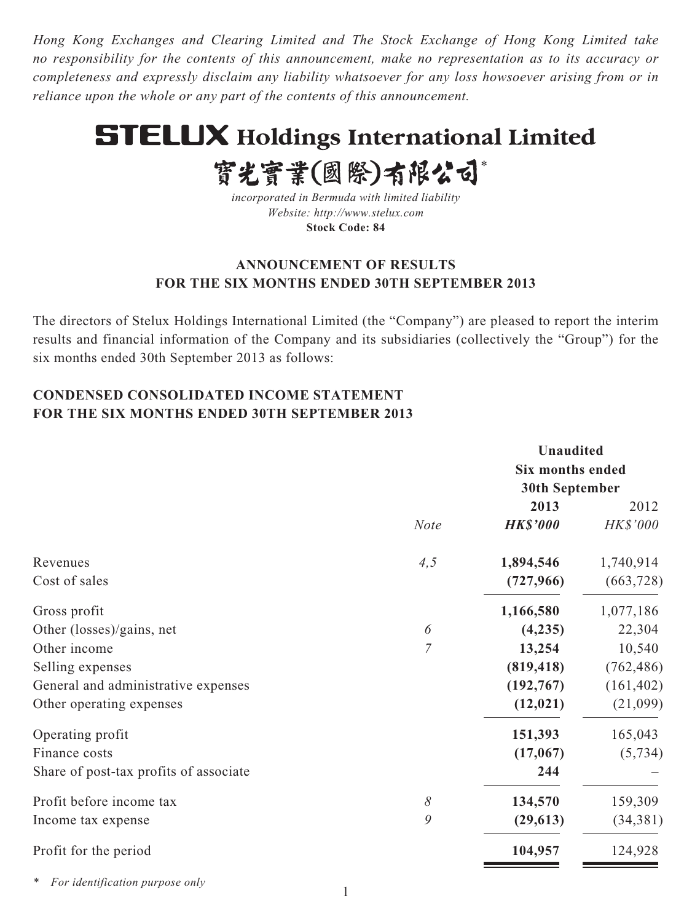*Hong Kong Exchanges and Clearing Limited and The Stock Exchange of Hong Kong Limited take no responsibility for the contents of this announcement, make no representation as to its accuracy or completeness and expressly disclaim any liability whatsoever for any loss howsoever arising from or in reliance upon the whole or any part of the contents of this announcement.*

# **STELUX Holdings International Limited**

實光實業(國際)有限公司\*

*incorporated in Bermuda with limited liability Website: http://www.stelux.com* **Stock Code: 84**

# **ANNOUNCEMENT OF RESULTS FOR THE SIX MONTHS ENDED 30TH SEPTEMBER 2013**

The directors of Stelux Holdings International Limited (the "Company") are pleased to report the interim results and financial information of the Company and its subsidiaries (collectively the "Group") for the six months ended 30th September 2013 as follows:

# **CONDENSED CONSOLIDATED INCOME STATEMENT FOR THE SIX MONTHS ENDED 30TH SEPTEMBER 2013**

|                                        | <b>Unaudited</b> |                       |            |
|----------------------------------------|------------------|-----------------------|------------|
|                                        |                  | Six months ended      |            |
|                                        |                  | <b>30th September</b> |            |
|                                        |                  | 2013                  | 2012       |
|                                        | <b>Note</b>      | <b>HK\$'000</b>       | HK\$'000   |
| Revenues                               | 4,5              | 1,894,546             | 1,740,914  |
| Cost of sales                          |                  | (727, 966)            | (663, 728) |
| Gross profit                           |                  | 1,166,580             | 1,077,186  |
| Other (losses)/gains, net              | 6                | (4,235)               | 22,304     |
| Other income                           | 7                | 13,254                | 10,540     |
| Selling expenses                       |                  | (819, 418)            | (762, 486) |
| General and administrative expenses    |                  | (192, 767)            | (161, 402) |
| Other operating expenses               |                  | (12, 021)             | (21,099)   |
| Operating profit                       |                  | 151,393               | 165,043    |
| Finance costs                          |                  | (17,067)              | (5, 734)   |
| Share of post-tax profits of associate |                  | 244                   |            |
| Profit before income tax               | 8                | 134,570               | 159,309    |
| Income tax expense                     | 9                | (29, 613)             | (34, 381)  |
| Profit for the period                  |                  | 104,957               | 124,928    |
|                                        |                  |                       |            |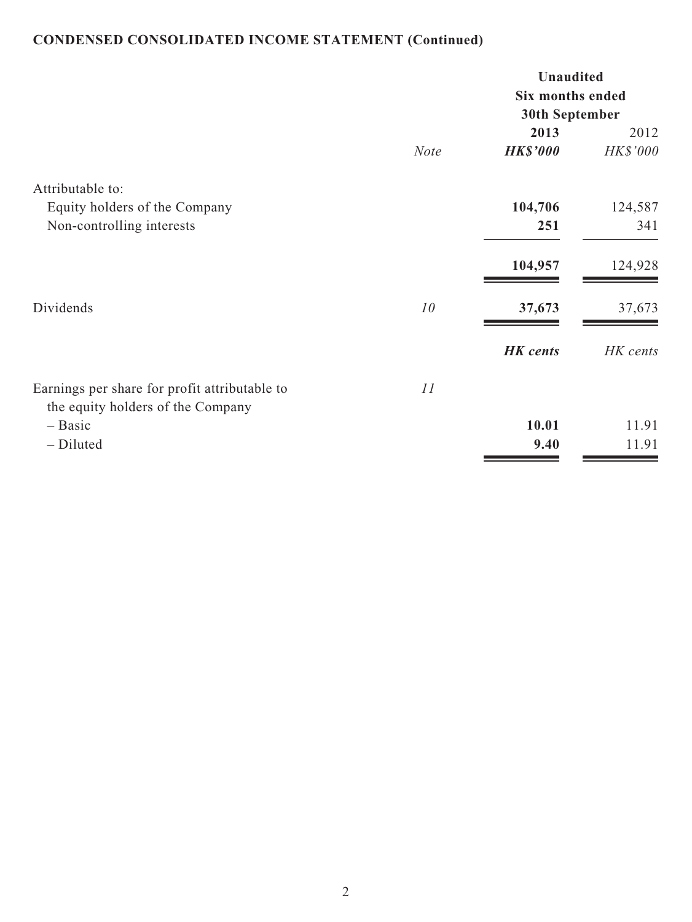# **CONDENSED CONSOLIDATED INCOME STATEMENT (Continued)**

|                                                                                    |             | <b>Unaudited</b><br>Six months ended<br>30th September |                  |  |
|------------------------------------------------------------------------------------|-------------|--------------------------------------------------------|------------------|--|
|                                                                                    | <b>Note</b> | 2013<br><b>HK\$'000</b>                                | 2012<br>HK\$'000 |  |
| Attributable to:                                                                   |             |                                                        |                  |  |
| Equity holders of the Company                                                      |             | 104,706                                                | 124,587          |  |
| Non-controlling interests                                                          |             | 251                                                    | 341              |  |
|                                                                                    |             | 104,957                                                | 124,928          |  |
| Dividends                                                                          | 10          | 37,673                                                 | 37,673           |  |
|                                                                                    |             | <b>HK</b> cents                                        | HK cents         |  |
| Earnings per share for profit attributable to<br>the equity holders of the Company | 11          |                                                        |                  |  |
| $-$ Basic                                                                          |             | 10.01                                                  | 11.91            |  |
| - Diluted                                                                          |             | 9.40                                                   | 11.91            |  |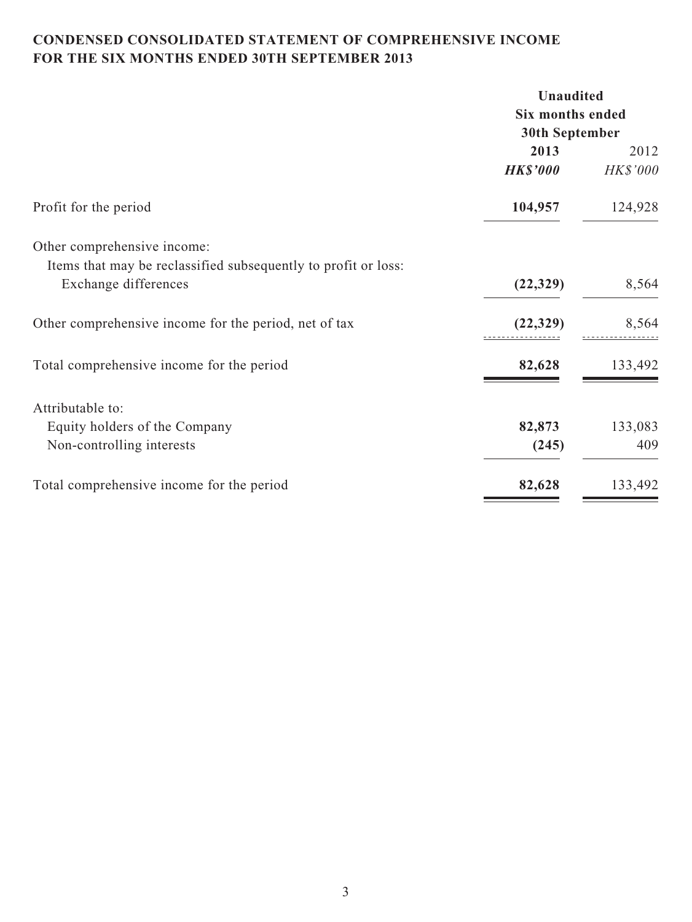# **CONDENSED CONSOLIDATED STATEMENT OF COMPREHENSIVE INCOME FOR THE SIX MONTHS ENDED 30TH SEPTEMBER 2013**

|                                                                | <b>Unaudited</b><br><b>Six months ended</b><br>30th September |          |  |
|----------------------------------------------------------------|---------------------------------------------------------------|----------|--|
|                                                                |                                                               |          |  |
|                                                                |                                                               |          |  |
|                                                                | 2013                                                          | 2012     |  |
|                                                                | <b>HK\$'000</b>                                               | HK\$'000 |  |
| Profit for the period                                          | 104,957                                                       | 124,928  |  |
| Other comprehensive income:                                    |                                                               |          |  |
| Items that may be reclassified subsequently to profit or loss: |                                                               |          |  |
| Exchange differences                                           | (22, 329)                                                     | 8,564    |  |
| Other comprehensive income for the period, net of tax          | (22, 329)                                                     | 8,564    |  |
| Total comprehensive income for the period                      | 82,628                                                        | 133,492  |  |
| Attributable to:                                               |                                                               |          |  |
| Equity holders of the Company                                  | 82,873                                                        | 133,083  |  |
| Non-controlling interests                                      | (245)                                                         | 409      |  |
| Total comprehensive income for the period                      | 82,628                                                        | 133,492  |  |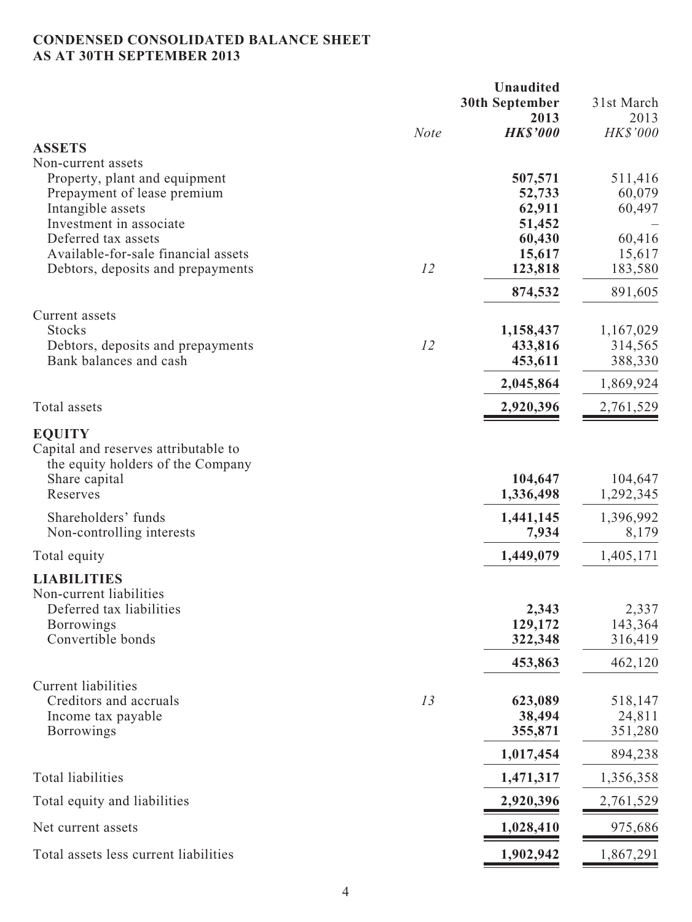# **CONDENSED CONSOLIDATED BALANCE SHEET AS AT 30TH SEPTEMBER 2013**

|                                       |             | <b>Unaudited</b>      |            |
|---------------------------------------|-------------|-----------------------|------------|
|                                       |             | <b>30th September</b> | 31st March |
|                                       |             | 2013                  | 2013       |
|                                       | <b>Note</b> | <b>HK\$'000</b>       | HK\$'000   |
| <b>ASSETS</b>                         |             |                       |            |
| Non-current assets                    |             |                       |            |
| Property, plant and equipment         |             | 507,571               | 511,416    |
| Prepayment of lease premium           |             | 52,733                | 60,079     |
| Intangible assets                     |             | 62,911                | 60,497     |
| Investment in associate               |             | 51,452                |            |
| Deferred tax assets                   |             | 60,430                | 60,416     |
| Available-for-sale financial assets   |             | 15,617                | 15,617     |
| Debtors, deposits and prepayments     | 12          | 123,818               | 183,580    |
|                                       |             | 874,532               | 891,605    |
| Current assets                        |             |                       |            |
| <b>Stocks</b>                         |             | 1,158,437             | 1,167,029  |
| Debtors, deposits and prepayments     | 12          | 433,816               | 314,565    |
| Bank balances and cash                |             | 453,611               | 388,330    |
|                                       |             | 2,045,864             | 1,869,924  |
| Total assets                          |             | 2,920,396             | 2,761,529  |
| <b>EQUITY</b>                         |             |                       |            |
| Capital and reserves attributable to  |             |                       |            |
| the equity holders of the Company     |             |                       |            |
| Share capital                         |             | 104,647               | 104,647    |
| Reserves                              |             | 1,336,498             | 1,292,345  |
|                                       |             |                       |            |
| Shareholders' funds                   |             | 1,441,145             | 1,396,992  |
| Non-controlling interests             |             | 7,934                 | 8,179      |
| Total equity                          |             | 1,449,079             | 1,405,171  |
| <b>LIABILITIES</b>                    |             |                       |            |
| Non-current liabilities               |             |                       |            |
| Deferred tax liabilities              |             | 2,343                 | 2,337      |
| <b>Borrowings</b>                     |             | 129,172               | 143,364    |
| Convertible bonds                     |             | 322,348               | 316,419    |
|                                       |             | 453,863               | 462,120    |
| <b>Current liabilities</b>            |             |                       |            |
| Creditors and accruals                | 13          | 623,089               | 518,147    |
| Income tax payable                    |             | 38,494                | 24,811     |
| <b>Borrowings</b>                     |             | 355,871               | 351,280    |
|                                       |             | 1,017,454             | 894,238    |
| <b>Total liabilities</b>              |             |                       | 1,356,358  |
|                                       |             | 1,471,317             |            |
| Total equity and liabilities          |             | 2,920,396             | 2,761,529  |
| Net current assets                    |             | 1,028,410             | 975,686    |
| Total assets less current liabilities |             | 1,902,942             | 1,867,291  |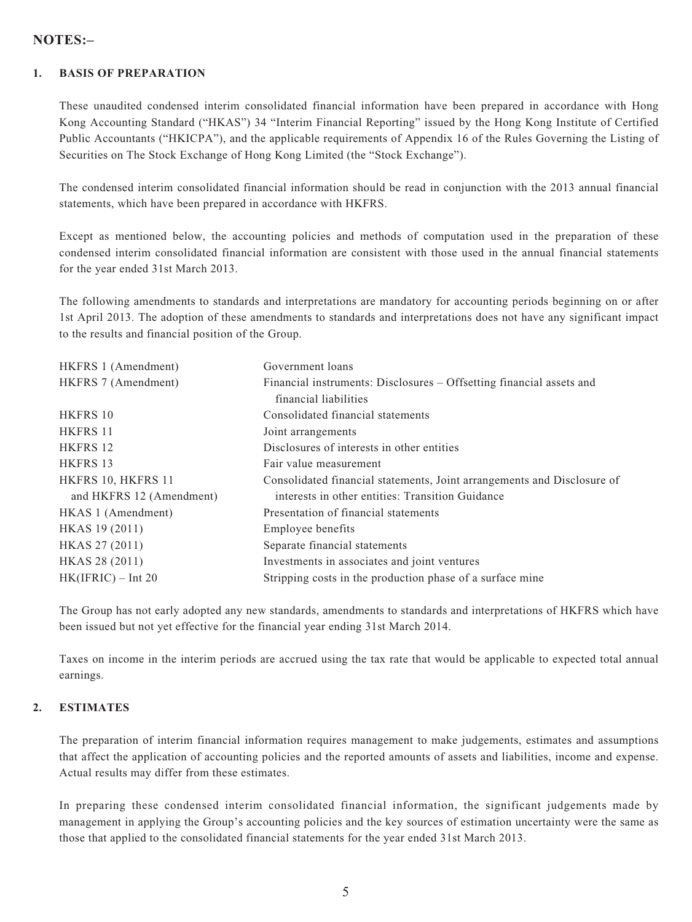## **NOTES:–**

#### **1. BASIS OF PREPARATION**

These unaudited condensed interim consolidated financial information have been prepared in accordance with Hong Kong Accounting Standard ("HKAS") 34 "Interim Financial Reporting" issued by the Hong Kong Institute of Certified Public Accountants ("HKICPA"), and the applicable requirements of Appendix 16 of the Rules Governing the Listing of Securities on The Stock Exchange of Hong Kong Limited (the "Stock Exchange").

The condensed interim consolidated financial information should be read in conjunction with the 2013 annual financial statements, which have been prepared in accordance with HKFRS.

Except as mentioned below, the accounting policies and methods of computation used in the preparation of these condensed interim consolidated financial information are consistent with those used in the annual financial statements for the year ended 31st March 2013.

The following amendments to standards and interpretations are mandatory for accounting periods beginning on or after 1st April 2013. The adoption of these amendments to standards and interpretations does not have any significant impact to the results and financial position of the Group.

| HKFRS 1 (Amendment)      | Government loans                                                        |
|--------------------------|-------------------------------------------------------------------------|
| HKFRS 7 (Amendment)      | Financial instruments: Disclosures – Offsetting financial assets and    |
|                          | financial liabilities                                                   |
| HKFRS 10                 | Consolidated financial statements                                       |
| <b>HKFRS 11</b>          | Joint arrangements                                                      |
| <b>HKFRS 12</b>          | Disclosures of interests in other entities                              |
| HKFRS 13                 | Fair value measurement                                                  |
| HKFRS 10, HKFRS 11       | Consolidated financial statements, Joint arrangements and Disclosure of |
| and HKFRS 12 (Amendment) | interests in other entities: Transition Guidance                        |
| HKAS 1 (Amendment)       | Presentation of financial statements                                    |
| HKAS 19 (2011)           | Employee benefits                                                       |
| HKAS 27 (2011)           | Separate financial statements                                           |
| HKAS 28 (2011)           | Investments in associates and joint ventures                            |
| $HK(IFRIC) - Int 20$     | Stripping costs in the production phase of a surface mine               |
|                          |                                                                         |

The Group has not early adopted any new standards, amendments to standards and interpretations of HKFRS which have been issued but not yet effective for the financial year ending 31st March 2014.

Taxes on income in the interim periods are accrued using the tax rate that would be applicable to expected total annual earnings.

#### **2. ESTIMATES**

The preparation of interim financial information requires management to make judgements, estimates and assumptions that affect the application of accounting policies and the reported amounts of assets and liabilities, income and expense. Actual results may differ from these estimates.

In preparing these condensed interim consolidated financial information, the significant judgements made by management in applying the Group's accounting policies and the key sources of estimation uncertainty were the same as those that applied to the consolidated financial statements for the year ended 31st March 2013.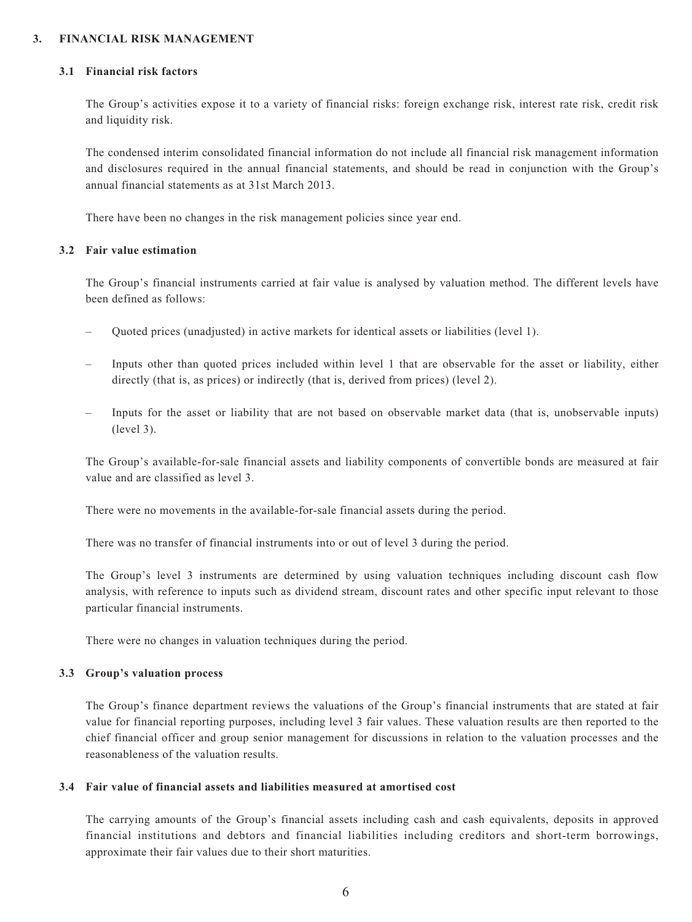#### **3. FINANCIAL RISK MANAGEMENT**

#### **3.1 Financial risk factors**

The Group's activities expose it to a variety of financial risks: foreign exchange risk, interest rate risk, credit risk and liquidity risk.

The condensed interim consolidated financial information do not include all financial risk management information and disclosures required in the annual financial statements, and should be read in conjunction with the Group's annual financial statements as at 31st March 2013.

There have been no changes in the risk management policies since year end.

#### **3.2 Fair value estimation**

The Group's financial instruments carried at fair value is analysed by valuation method. The different levels have been defined as follows:

- Quoted prices (unadjusted) in active markets for identical assets or liabilities (level 1).
- Inputs other than quoted prices included within level 1 that are observable for the asset or liability, either directly (that is, as prices) or indirectly (that is, derived from prices) (level 2).
- Inputs for the asset or liability that are not based on observable market data (that is, unobservable inputs) (level 3).

The Group's available-for-sale financial assets and liability components of convertible bonds are measured at fair value and are classified as level 3.

There were no movements in the available-for-sale financial assets during the period.

There was no transfer of financial instruments into or out of level 3 during the period.

The Group's level 3 instruments are determined by using valuation techniques including discount cash flow analysis, with reference to inputs such as dividend stream, discount rates and other specific input relevant to those particular financial instruments.

There were no changes in valuation techniques during the period.

#### **3.3 Group's valuation process**

The Group's finance department reviews the valuations of the Group's financial instruments that are stated at fair value for financial reporting purposes, including level 3 fair values. These valuation results are then reported to the chief financial officer and group senior management for discussions in relation to the valuation processes and the reasonableness of the valuation results.

#### **3.4 Fair value of financial assets and liabilities measured at amortised cost**

The carrying amounts of the Group's financial assets including cash and cash equivalents, deposits in approved financial institutions and debtors and financial liabilities including creditors and short-term borrowings, approximate their fair values due to their short maturities.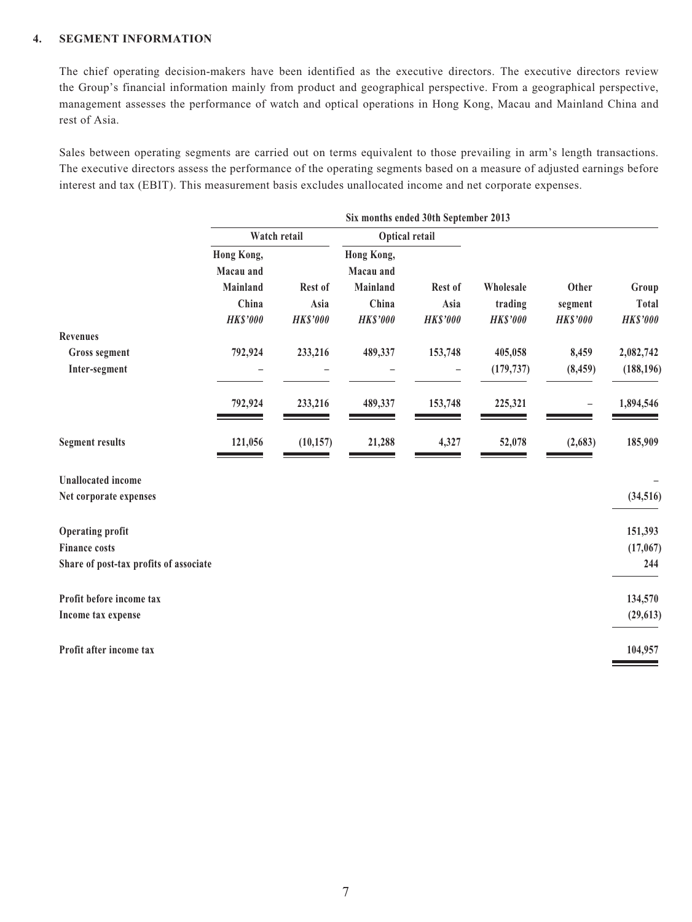#### **4. SEGMENT INFORMATION**

The chief operating decision-makers have been identified as the executive directors. The executive directors review the Group's financial information mainly from product and geographical perspective. From a geographical perspective, management assesses the performance of watch and optical operations in Hong Kong, Macau and Mainland China and rest of Asia.

Sales between operating segments are carried out on terms equivalent to those prevailing in arm's length transactions. The executive directors assess the performance of the operating segments based on a measure of adjusted earnings before interest and tax (EBIT). This measurement basis excludes unallocated income and net corporate expenses.

|                                        | Six months ended 30th September 2013 |                 |                          |                 |                       |                   |                         |
|----------------------------------------|--------------------------------------|-----------------|--------------------------|-----------------|-----------------------|-------------------|-------------------------|
|                                        |                                      | Watch retail    |                          | Optical retail  |                       |                   |                         |
|                                        | Hong Kong,<br>Macau and              |                 | Hong Kong,<br>Macau and  |                 |                       |                   |                         |
|                                        | Mainland<br>China                    | Rest of<br>Asia | <b>Mainland</b><br>China | Rest of<br>Asia | Wholesale<br>trading  | Other<br>segment  | Group<br><b>Total</b>   |
|                                        | <b>HK\$'000</b>                      | <b>HK\$'000</b> | <b>HK\$'000</b>          | <b>HK\$'000</b> | <b>HK\$'000</b>       | <b>HK\$'000</b>   | <b>HK\$'000</b>         |
| <b>Revenues</b>                        |                                      |                 |                          |                 |                       |                   |                         |
| <b>Gross segment</b><br>Inter-segment  | 792,924                              | 233,216         | 489,337                  | 153,748         | 405,058<br>(179, 737) | 8,459<br>(8, 459) | 2,082,742<br>(188, 196) |
|                                        | 792,924                              | 233,216         | 489,337                  | 153,748         | 225,321               |                   | 1,894,546               |
| <b>Segment results</b>                 | 121,056                              | (10, 157)       | 21,288                   | 4,327           | 52,078                | (2,683)           | 185,909                 |
| <b>Unallocated</b> income              |                                      |                 |                          |                 |                       |                   |                         |
| Net corporate expenses                 |                                      |                 |                          |                 |                       |                   | (34, 516)               |
| <b>Operating profit</b>                |                                      |                 |                          |                 |                       |                   | 151,393                 |
| <b>Finance costs</b>                   |                                      |                 |                          |                 |                       |                   | (17,067)                |
| Share of post-tax profits of associate |                                      |                 |                          |                 |                       |                   | 244                     |
| Profit before income tax               |                                      |                 |                          |                 |                       |                   | 134,570                 |
| Income tax expense                     |                                      |                 |                          |                 |                       |                   | (29, 613)               |
| Profit after income tax                |                                      |                 |                          |                 |                       |                   | 104,957                 |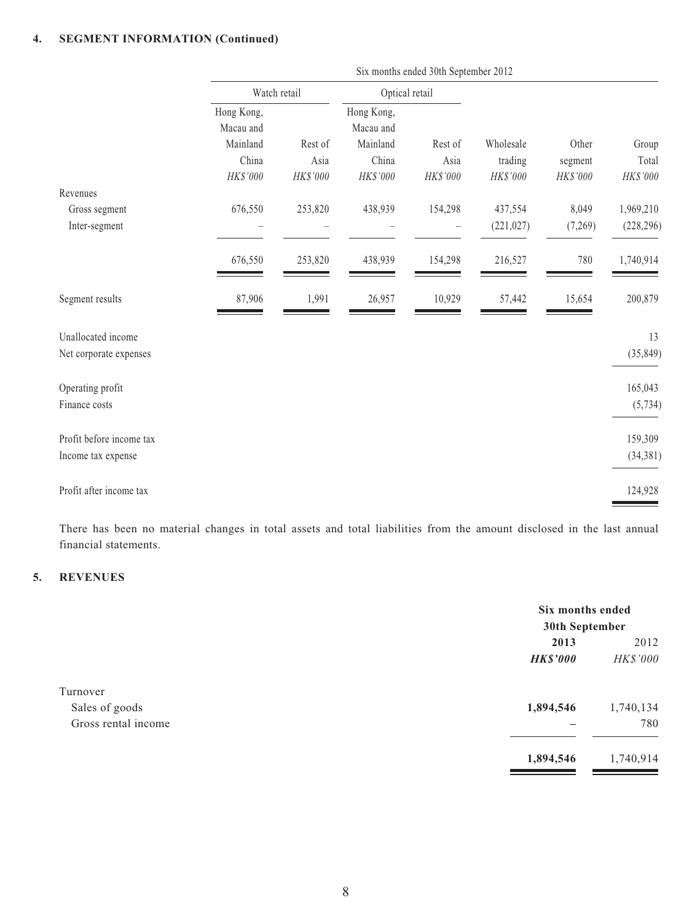#### **4. SEGMENT INFORMATION (Continued)**

|                                                | Six months ended 30th September 2012                     |                             |                                                          |                             |                                  |                              |                            |
|------------------------------------------------|----------------------------------------------------------|-----------------------------|----------------------------------------------------------|-----------------------------|----------------------------------|------------------------------|----------------------------|
|                                                | Watch retail                                             |                             | Optical retail                                           |                             |                                  |                              |                            |
|                                                | Hong Kong,<br>Macau and<br>Mainland<br>China<br>HK\$'000 | Rest of<br>Asia<br>HK\$'000 | Hong Kong,<br>Macau and<br>Mainland<br>China<br>HK\$'000 | Rest of<br>Asia<br>HK\$'000 | Wholesale<br>trading<br>HK\$'000 | Other<br>segment<br>HK\$'000 | Group<br>Total<br>HK\$'000 |
| Revenues                                       |                                                          |                             |                                                          |                             |                                  |                              |                            |
| Gross segment<br>Inter-segment                 | 676,550                                                  | 253,820                     | 438,939                                                  | 154,298                     | 437,554<br>(221, 027)            | 8,049<br>(7,269)             | 1,969,210<br>(228, 296)    |
|                                                | 676,550                                                  | 253,820                     | 438,939                                                  | 154,298                     | 216,527                          | 780                          | 1,740,914                  |
| Segment results                                | 87,906                                                   | 1,991                       | 26,957                                                   | 10,929                      | 57,442                           | 15,654                       | 200,879                    |
| Unallocated income<br>Net corporate expenses   |                                                          |                             |                                                          |                             |                                  |                              | 13<br>(35, 849)            |
| Operating profit<br>Finance costs              |                                                          |                             |                                                          |                             |                                  |                              | 165,043<br>(5, 734)        |
| Profit before income tax<br>Income tax expense |                                                          |                             |                                                          |                             |                                  |                              | 159,309<br>(34, 381)       |
| Profit after income tax                        |                                                          |                             |                                                          |                             |                                  |                              | 124,928                    |

There has been no material changes in total assets and total liabilities from the amount disclosed in the last annual financial statements.

#### **5. REVENUES**

|                     |                 | Six months ended<br>30th September |  |
|---------------------|-----------------|------------------------------------|--|
|                     | 2013            | 2012                               |  |
|                     | <b>HK\$'000</b> | HK\$'000                           |  |
| Turnover            |                 |                                    |  |
| Sales of goods      | 1,894,546       | 1,740,134                          |  |
| Gross rental income |                 | 780                                |  |
|                     | 1,894,546       | 1,740,914                          |  |
|                     |                 |                                    |  |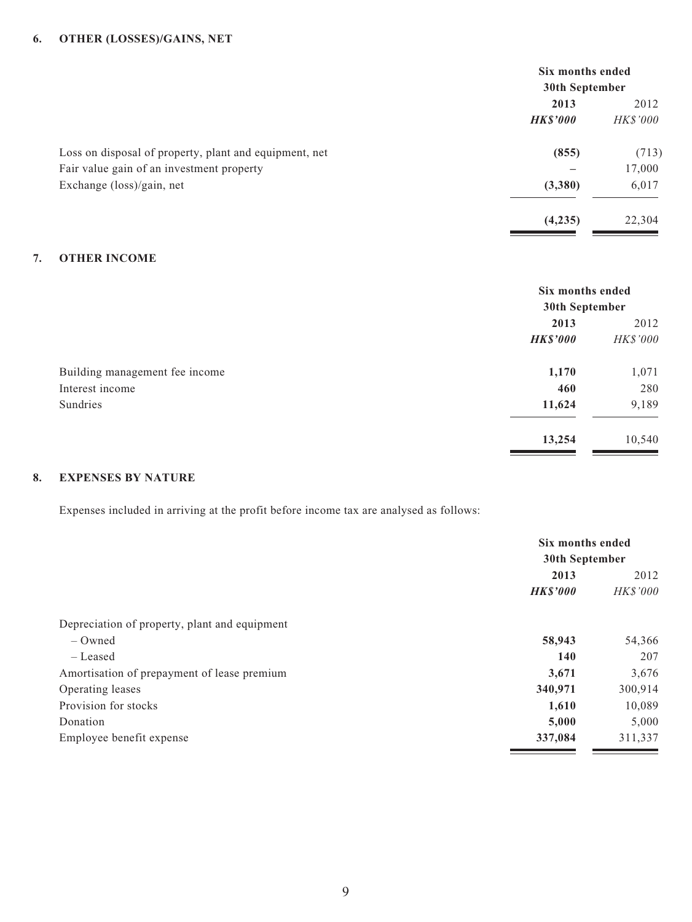|                                                        | Six months ended |                 |
|--------------------------------------------------------|------------------|-----------------|
|                                                        | 30th September   |                 |
|                                                        | 2013             |                 |
|                                                        | <b>HK\$'000</b>  | <i>HK\$'000</i> |
| Loss on disposal of property, plant and equipment, net | (855)            | (713)           |
| Fair value gain of an investment property              |                  | 17,000          |
| Exchange (loss)/gain, net                              | (3,380)          | 6,017           |
|                                                        | (4,235)          | 22,304          |

#### **7. OTHER INCOME**

|                                | Six months ended<br>30th September |          |
|--------------------------------|------------------------------------|----------|
|                                | 2013                               | 2012     |
|                                | <b>HK\$'000</b>                    | HK\$'000 |
| Building management fee income | 1,170                              | 1,071    |
| Interest income                | 460                                | 280      |
| Sundries                       | 11,624                             | 9,189    |
|                                | 13,254                             | 10,540   |

#### **8. EXPENSES BY NATURE**

Expenses included in arriving at the profit before income tax are analysed as follows:

|                                               | Six months ended |                 |
|-----------------------------------------------|------------------|-----------------|
|                                               | 30th September   |                 |
|                                               | 2013             | 2012            |
|                                               | <b>HK\$'000</b>  | <i>HK\$'000</i> |
| Depreciation of property, plant and equipment |                  |                 |
| $-$ Owned                                     | 58,943           | 54,366          |
| – Leased                                      | <b>140</b>       | 207             |
| Amortisation of prepayment of lease premium   | 3,671            | 3,676           |
| Operating leases                              | 340,971          | 300,914         |
| Provision for stocks                          | 1,610            | 10,089          |
| Donation                                      | 5,000            | 5,000           |
| Employee benefit expense                      | 337,084          | 311,337         |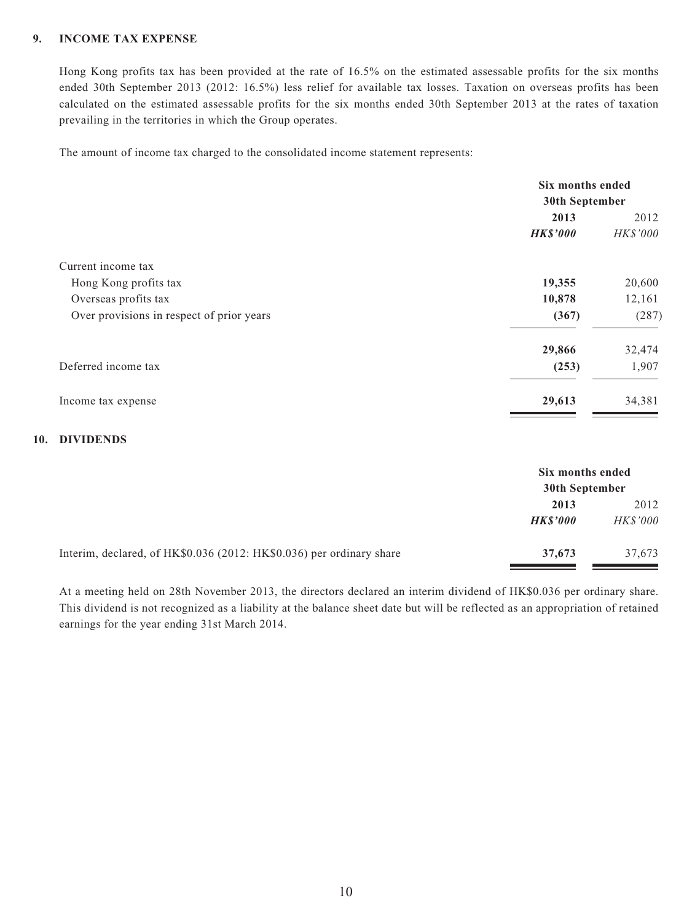#### **9. INCOME TAX EXPENSE**

Hong Kong profits tax has been provided at the rate of 16.5% on the estimated assessable profits for the six months ended 30th September 2013 (2012: 16.5%) less relief for available tax losses. Taxation on overseas profits has been calculated on the estimated assessable profits for the six months ended 30th September 2013 at the rates of taxation prevailing in the territories in which the Group operates.

The amount of income tax charged to the consolidated income statement represents:

|                                           | Six months ended |          |  |
|-------------------------------------------|------------------|----------|--|
|                                           | 30th September   |          |  |
|                                           | 2013             | 2012     |  |
|                                           | <b>HK\$'000</b>  | HK\$'000 |  |
| Current income tax                        |                  |          |  |
| Hong Kong profits tax                     | 19,355           | 20,600   |  |
| Overseas profits tax                      | 10,878           | 12,161   |  |
| Over provisions in respect of prior years | (367)            | (287)    |  |
|                                           | 29,866           | 32,474   |  |
| Deferred income tax                       | (253)            | 1,907    |  |
| Income tax expense                        | 29,613           | 34,381   |  |

#### **10. DIVIDENDS**

|                                                                      | Six months ended<br>30th September |                 |
|----------------------------------------------------------------------|------------------------------------|-----------------|
|                                                                      | 2013                               | 2012            |
|                                                                      | <b>HKS'000</b>                     | <b>HK\$'000</b> |
| Interim, declared, of HK\$0.036 (2012: HK\$0.036) per ordinary share | 37,673                             | 37,673          |

At a meeting held on 28th November 2013, the directors declared an interim dividend of HK\$0.036 per ordinary share. This dividend is not recognized as a liability at the balance sheet date but will be reflected as an appropriation of retained earnings for the year ending 31st March 2014.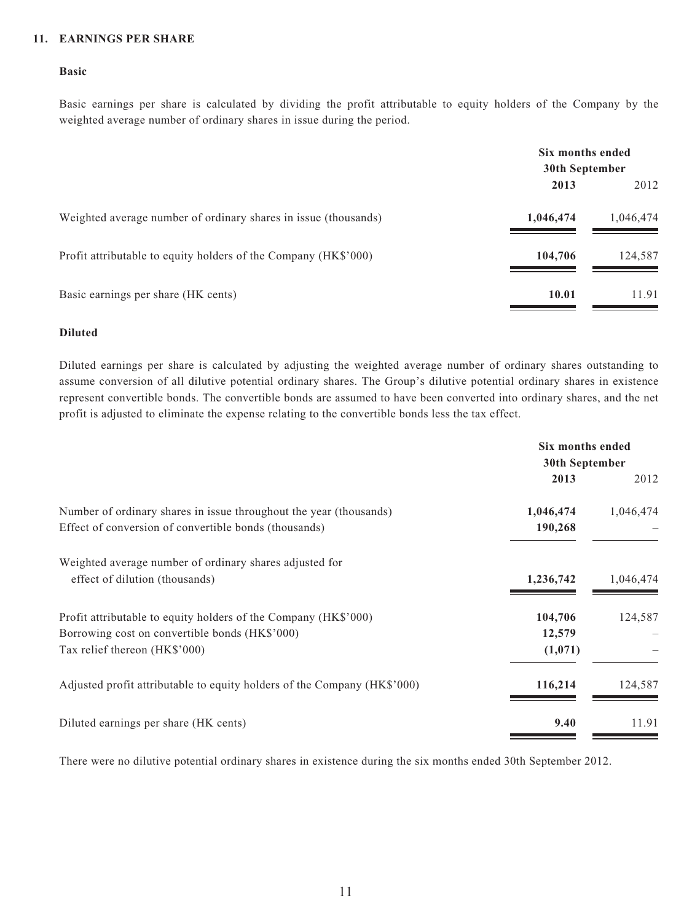#### **11. EARNINGS PER SHARE**

#### **Basic**

Basic earnings per share is calculated by dividing the profit attributable to equity holders of the Company by the weighted average number of ordinary shares in issue during the period.

|                                                                 | Six months ended<br>30th September |           |
|-----------------------------------------------------------------|------------------------------------|-----------|
|                                                                 | 2013                               | 2012      |
| Weighted average number of ordinary shares in issue (thousands) | 1,046,474                          | 1,046,474 |
| Profit attributable to equity holders of the Company (HK\$'000) | 104,706                            | 124,587   |
| Basic earnings per share (HK cents)                             | 10.01                              | 11.91     |

#### **Diluted**

Diluted earnings per share is calculated by adjusting the weighted average number of ordinary shares outstanding to assume conversion of all dilutive potential ordinary shares. The Group's dilutive potential ordinary shares in existence represent convertible bonds. The convertible bonds are assumed to have been converted into ordinary shares, and the net profit is adjusted to eliminate the expense relating to the convertible bonds less the tax effect.

|                                                                          | Six months ended<br>30th September |           |
|--------------------------------------------------------------------------|------------------------------------|-----------|
|                                                                          | 2013                               | 2012      |
| Number of ordinary shares in issue throughout the year (thousands)       | 1,046,474                          | 1,046,474 |
| Effect of conversion of convertible bonds (thousands)                    | 190,268                            |           |
| Weighted average number of ordinary shares adjusted for                  |                                    |           |
| effect of dilution (thousands)                                           | 1,236,742                          | 1,046,474 |
| Profit attributable to equity holders of the Company (HK\$'000)          | 104,706                            | 124,587   |
| Borrowing cost on convertible bonds (HK\$'000)                           | 12,579                             |           |
| Tax relief thereon (HK\$'000)                                            | (1,071)                            |           |
| Adjusted profit attributable to equity holders of the Company (HK\$'000) | 116,214                            | 124,587   |
| Diluted earnings per share (HK cents)                                    | 9.40                               | 11.91     |

There were no dilutive potential ordinary shares in existence during the six months ended 30th September 2012.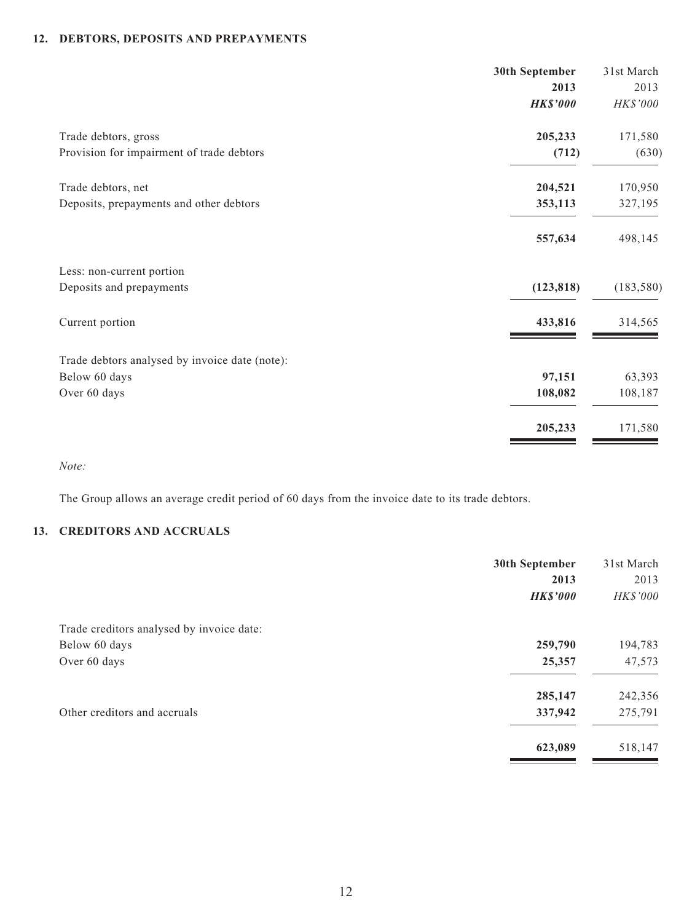#### **12. DEBTORS, DEPOSITS AND PREPAYMENTS**

|                                                | 30th September  | 31st March |
|------------------------------------------------|-----------------|------------|
|                                                | 2013            | 2013       |
|                                                | <b>HK\$'000</b> | HK\$'000   |
| Trade debtors, gross                           | 205,233         | 171,580    |
| Provision for impairment of trade debtors      | (712)           | (630)      |
| Trade debtors, net                             | 204,521         | 170,950    |
| Deposits, prepayments and other debtors        | 353,113         | 327,195    |
|                                                | 557,634         | 498,145    |
| Less: non-current portion                      |                 |            |
| Deposits and prepayments                       | (123, 818)      | (183, 580) |
| Current portion                                | 433,816         | 314,565    |
| Trade debtors analysed by invoice date (note): |                 |            |
| Below 60 days                                  | 97,151          | 63,393     |
| Over 60 days                                   | 108,082         | 108,187    |
|                                                | 205,233         | 171,580    |

*Note:*

The Group allows an average credit period of 60 days from the invoice date to its trade debtors.

## **13. CREDITORS AND ACCRUALS**

|                                           | 30th September  | 31st March |
|-------------------------------------------|-----------------|------------|
|                                           | 2013            | 2013       |
|                                           | <b>HK\$'000</b> | HK\$'000   |
| Trade creditors analysed by invoice date: |                 |            |
| Below 60 days                             | 259,790         | 194,783    |
| Over 60 days                              | 25,357          | 47,573     |
|                                           | 285,147         | 242,356    |
| Other creditors and accruals              | 337,942         | 275,791    |
|                                           | 623,089         | 518,147    |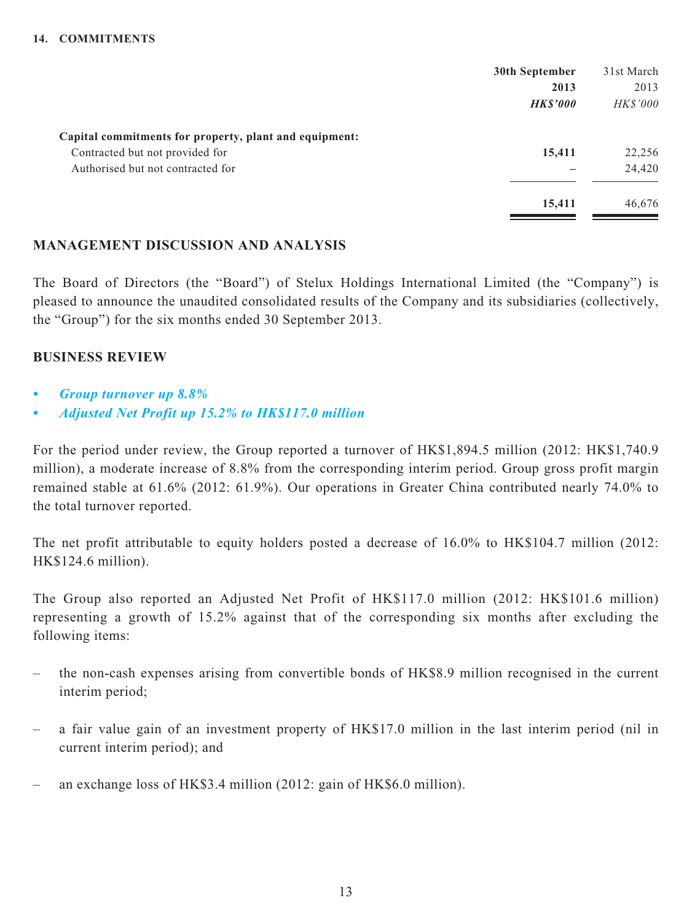|                                                        | 30th September | 31st March      |
|--------------------------------------------------------|----------------|-----------------|
|                                                        | 2013           | 2013            |
|                                                        | <b>HKS'000</b> | <b>HK\$'000</b> |
| Capital commitments for property, plant and equipment: |                |                 |
| Contracted but not provided for                        | 15,411         | 22,256          |
| Authorised but not contracted for                      |                | 24,420          |
|                                                        | 15,411         | 46,676          |

## **MANAGEMENT DISCUSSION AND ANALYSIS**

The Board of Directors (the "Board") of Stelux Holdings International Limited (the "Company") is pleased to announce the unaudited consolidated results of the Company and its subsidiaries (collectively, the "Group") for the six months ended 30 September 2013.

## **BUSINESS REVIEW**

- *Group turnover up 8.8%*
- *Adjusted Net Profit up 15.2% to HK\$117.0 million*

For the period under review, the Group reported a turnover of HK\$1,894.5 million (2012: HK\$1,740.9 million), a moderate increase of 8.8% from the corresponding interim period. Group gross profit margin remained stable at 61.6% (2012: 61.9%). Our operations in Greater China contributed nearly 74.0% to the total turnover reported.

The net profit attributable to equity holders posted a decrease of 16.0% to HK\$104.7 million (2012: HK\$124.6 million).

The Group also reported an Adjusted Net Profit of HK\$117.0 million (2012: HK\$101.6 million) representing a growth of 15.2% against that of the corresponding six months after excluding the following items:

- the non-cash expenses arising from convertible bonds of HK\$8.9 million recognised in the current interim period;
- a fair value gain of an investment property of HK\$17.0 million in the last interim period (nil in current interim period); and
- an exchange loss of HK\$3.4 million (2012: gain of HK\$6.0 million).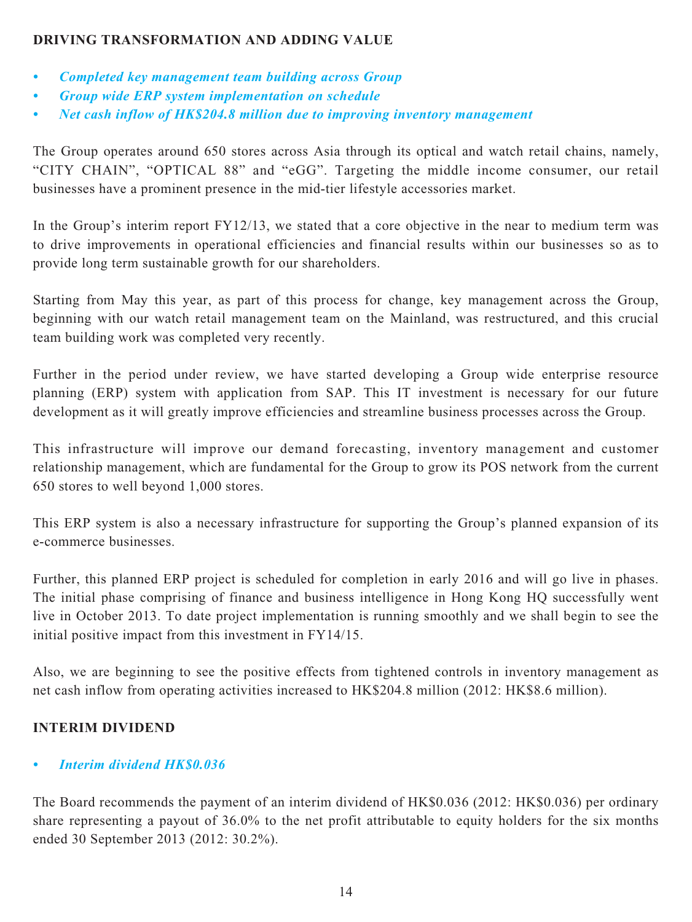## **DRIVING TRANSFORMATION AND ADDING VALUE**

- *Completed key management team building across Group*
- *Group wide ERP system implementation on schedule*
- *Net cash inflow of HK\$204.8 million due to improving inventory management*

The Group operates around 650 stores across Asia through its optical and watch retail chains, namely, "CITY CHAIN", "OPTICAL 88" and "eGG". Targeting the middle income consumer, our retail businesses have a prominent presence in the mid-tier lifestyle accessories market.

In the Group's interim report FY12/13, we stated that a core objective in the near to medium term was to drive improvements in operational efficiencies and financial results within our businesses so as to provide long term sustainable growth for our shareholders.

Starting from May this year, as part of this process for change, key management across the Group, beginning with our watch retail management team on the Mainland, was restructured, and this crucial team building work was completed very recently.

Further in the period under review, we have started developing a Group wide enterprise resource planning (ERP) system with application from SAP. This IT investment is necessary for our future development as it will greatly improve efficiencies and streamline business processes across the Group.

This infrastructure will improve our demand forecasting, inventory management and customer relationship management, which are fundamental for the Group to grow its POS network from the current 650 stores to well beyond 1,000 stores.

This ERP system is also a necessary infrastructure for supporting the Group's planned expansion of its e-commerce businesses.

Further, this planned ERP project is scheduled for completion in early 2016 and will go live in phases. The initial phase comprising of finance and business intelligence in Hong Kong HQ successfully went live in October 2013. To date project implementation is running smoothly and we shall begin to see the initial positive impact from this investment in FY14/15.

Also, we are beginning to see the positive effects from tightened controls in inventory management as net cash inflow from operating activities increased to HK\$204.8 million (2012: HK\$8.6 million).

# **INTERIM DIVIDEND**

## *• Interim dividend HK\$0.036*

The Board recommends the payment of an interim dividend of HK\$0.036 (2012: HK\$0.036) per ordinary share representing a payout of 36.0% to the net profit attributable to equity holders for the six months ended 30 September 2013 (2012: 30.2%).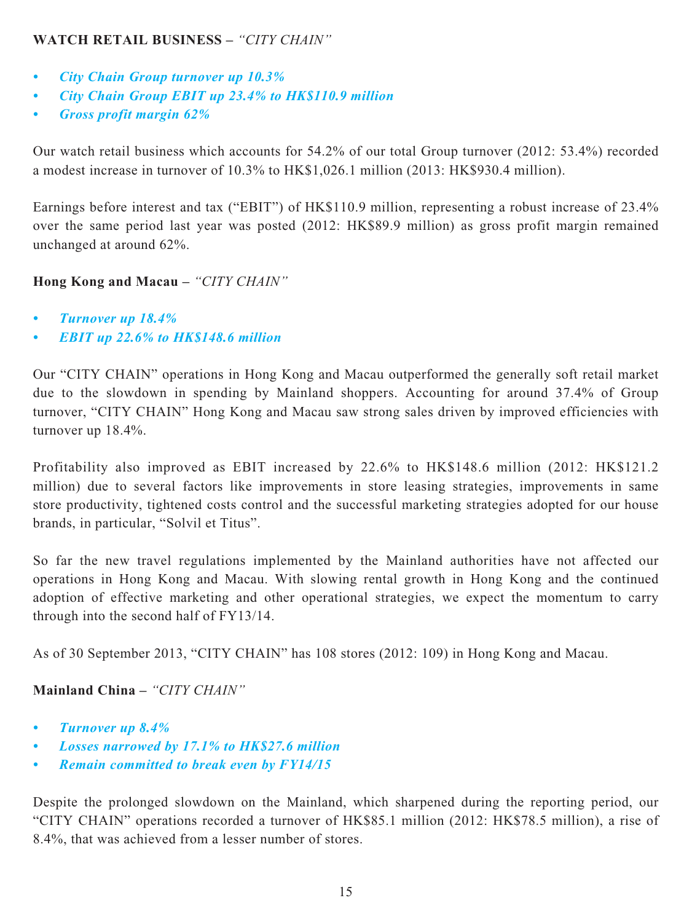## **WATCH RETAIL BUSINESS –** *"CITY CHAIN"*

- *City Chain Group turnover up 10.3%*
- *City Chain Group EBIT up 23.4% to HK\$110.9 million*
- *Gross profit margin 62%*

Our watch retail business which accounts for 54.2% of our total Group turnover (2012: 53.4%) recorded a modest increase in turnover of 10.3% to HK\$1,026.1 million (2013: HK\$930.4 million).

Earnings before interest and tax ("EBIT") of HK\$110.9 million, representing a robust increase of 23.4% over the same period last year was posted (2012: HK\$89.9 million) as gross profit margin remained unchanged at around 62%.

# **Hong Kong and Macau –** *"CITY CHAIN"*

- *Turnover up 18.4%*
- *EBIT up 22.6% to HK\$148.6 million*

Our "CITY CHAIN" operations in Hong Kong and Macau outperformed the generally soft retail market due to the slowdown in spending by Mainland shoppers. Accounting for around 37.4% of Group turnover, "CITY CHAIN" Hong Kong and Macau saw strong sales driven by improved efficiencies with turnover up 18.4%.

Profitability also improved as EBIT increased by 22.6% to HK\$148.6 million (2012: HK\$121.2 million) due to several factors like improvements in store leasing strategies, improvements in same store productivity, tightened costs control and the successful marketing strategies adopted for our house brands, in particular, "Solvil et Titus".

So far the new travel regulations implemented by the Mainland authorities have not affected our operations in Hong Kong and Macau. With slowing rental growth in Hong Kong and the continued adoption of effective marketing and other operational strategies, we expect the momentum to carry through into the second half of FY13/14.

As of 30 September 2013, "CITY CHAIN" has 108 stores (2012: 109) in Hong Kong and Macau.

# **Mainland China –** *"CITY CHAIN"*

- *Turnover up 8.4%*
- *Losses narrowed by 17.1% to HK\$27.6 million*
- *Remain committed to break even by FY14/15*

Despite the prolonged slowdown on the Mainland, which sharpened during the reporting period, our "CITY CHAIN" operations recorded a turnover of HK\$85.1 million (2012: HK\$78.5 million), a rise of 8.4%, that was achieved from a lesser number of stores.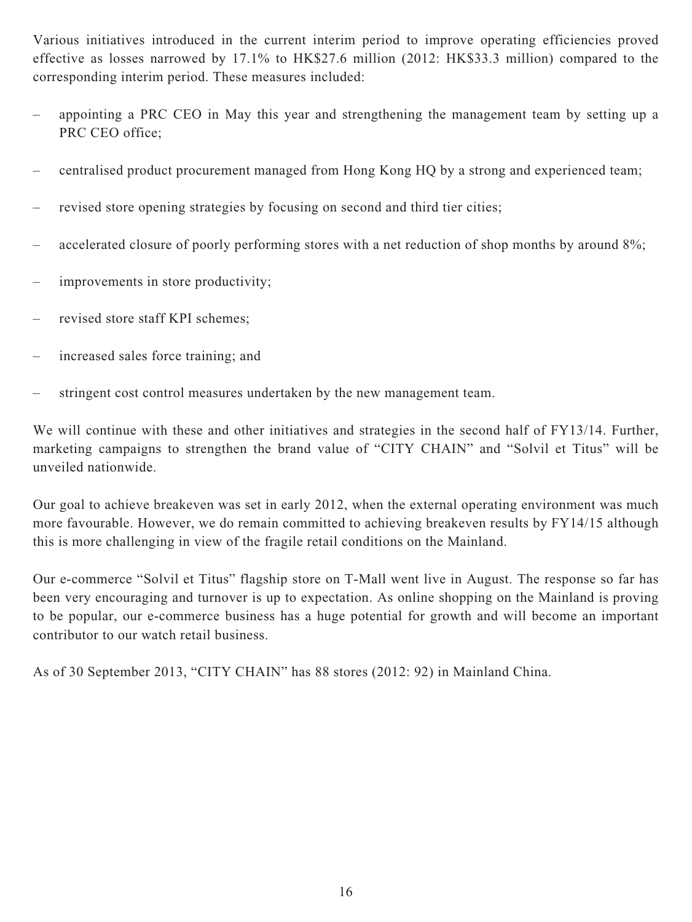Various initiatives introduced in the current interim period to improve operating efficiencies proved effective as losses narrowed by 17.1% to HK\$27.6 million (2012: HK\$33.3 million) compared to the corresponding interim period. These measures included:

- appointing a PRC CEO in May this year and strengthening the management team by setting up a PRC CEO office:
- centralised product procurement managed from Hong Kong HQ by a strong and experienced team;
- revised store opening strategies by focusing on second and third tier cities;
- accelerated closure of poorly performing stores with a net reduction of shop months by around 8%;
- improvements in store productivity;
- revised store staff KPI schemes;
- increased sales force training; and
- stringent cost control measures undertaken by the new management team.

We will continue with these and other initiatives and strategies in the second half of FY13/14. Further, marketing campaigns to strengthen the brand value of "CITY CHAIN" and "Solvil et Titus" will be unveiled nationwide.

Our goal to achieve breakeven was set in early 2012, when the external operating environment was much more favourable. However, we do remain committed to achieving breakeven results by FY14/15 although this is more challenging in view of the fragile retail conditions on the Mainland.

Our e-commerce "Solvil et Titus" flagship store on T-Mall went live in August. The response so far has been very encouraging and turnover is up to expectation. As online shopping on the Mainland is proving to be popular, our e-commerce business has a huge potential for growth and will become an important contributor to our watch retail business.

As of 30 September 2013, "CITY CHAIN" has 88 stores (2012: 92) in Mainland China.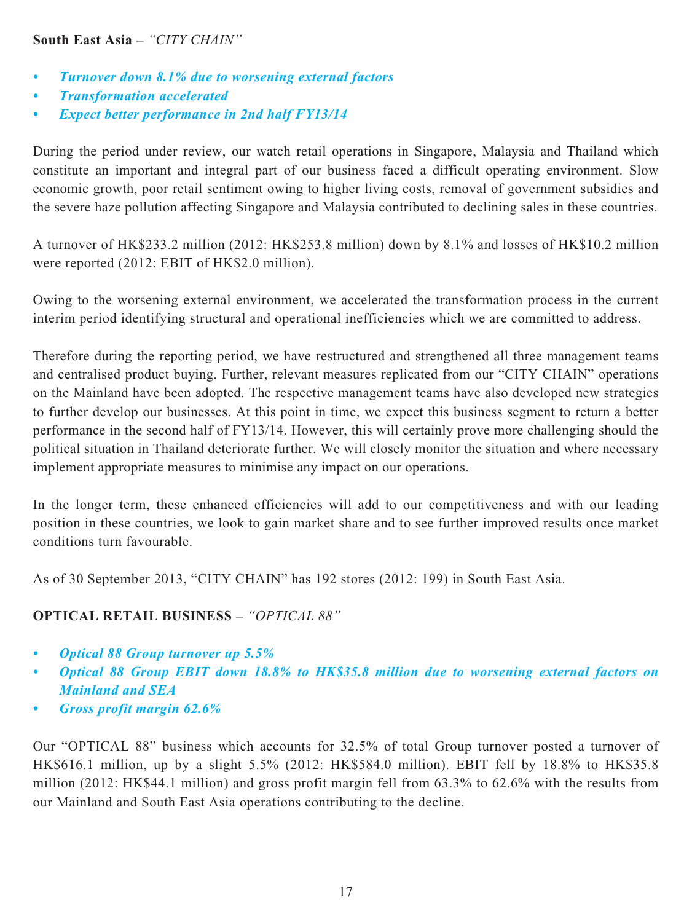## **South East Asia –** *"CITY CHAIN"*

- *Turnover down 8.1% due to worsening external factors*
- *Transformation accelerated*
- *Expect better performance in 2nd half FY13/14*

During the period under review, our watch retail operations in Singapore, Malaysia and Thailand which constitute an important and integral part of our business faced a difficult operating environment. Slow economic growth, poor retail sentiment owing to higher living costs, removal of government subsidies and the severe haze pollution affecting Singapore and Malaysia contributed to declining sales in these countries.

A turnover of HK\$233.2 million (2012: HK\$253.8 million) down by 8.1% and losses of HK\$10.2 million were reported (2012: EBIT of HK\$2.0 million).

Owing to the worsening external environment, we accelerated the transformation process in the current interim period identifying structural and operational inefficiencies which we are committed to address.

Therefore during the reporting period, we have restructured and strengthened all three management teams and centralised product buying. Further, relevant measures replicated from our "CITY CHAIN" operations on the Mainland have been adopted. The respective management teams have also developed new strategies to further develop our businesses. At this point in time, we expect this business segment to return a better performance in the second half of FY13/14. However, this will certainly prove more challenging should the political situation in Thailand deteriorate further. We will closely monitor the situation and where necessary implement appropriate measures to minimise any impact on our operations.

In the longer term, these enhanced efficiencies will add to our competitiveness and with our leading position in these countries, we look to gain market share and to see further improved results once market conditions turn favourable.

As of 30 September 2013, "CITY CHAIN" has 192 stores (2012: 199) in South East Asia.

# **OPTICAL RETAIL BUSINESS –** *"OPTICAL 88"*

- *Optical 88 Group turnover up 5.5%*
- *Optical 88 Group EBIT down 18.8% to HK\$35.8 million due to worsening external factors on Mainland and SEA*
- *Gross profit margin 62.6%*

Our "OPTICAL 88" business which accounts for 32.5% of total Group turnover posted a turnover of HK\$616.1 million, up by a slight 5.5% (2012: HK\$584.0 million). EBIT fell by 18.8% to HK\$35.8 million (2012: HK\$44.1 million) and gross profit margin fell from 63.3% to 62.6% with the results from our Mainland and South East Asia operations contributing to the decline.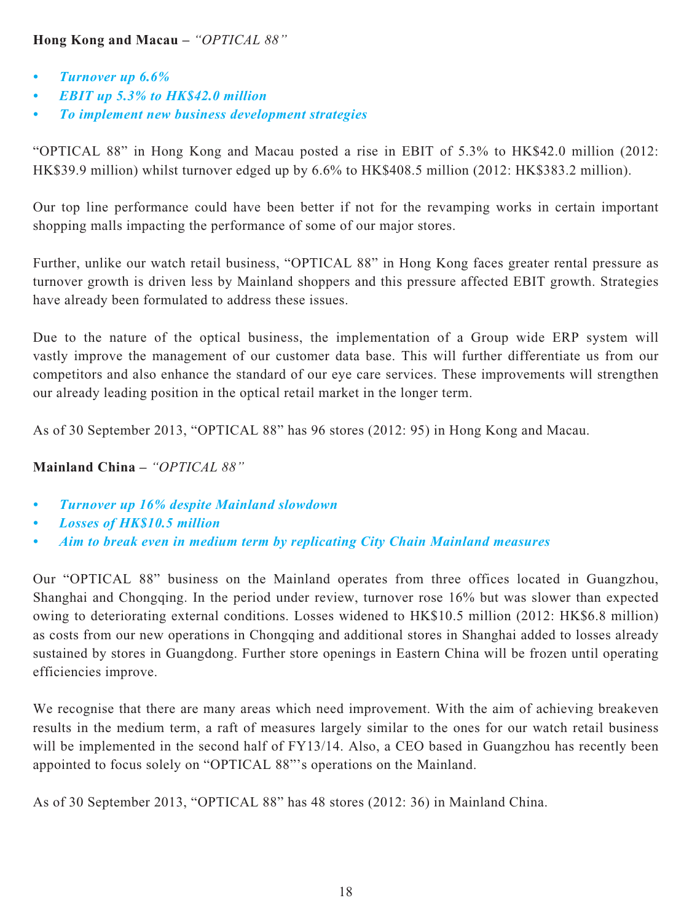# **Hong Kong and Macau –** *"OPTICAL 88"*

- *Turnover up 6.6%*
- *EBIT up 5.3% to HK\$42.0 million*
- *To implement new business development strategies*

"OPTICAL 88" in Hong Kong and Macau posted a rise in EBIT of 5.3% to HK\$42.0 million (2012: HK\$39.9 million) whilst turnover edged up by 6.6% to HK\$408.5 million (2012: HK\$383.2 million).

Our top line performance could have been better if not for the revamping works in certain important shopping malls impacting the performance of some of our major stores.

Further, unlike our watch retail business, "OPTICAL 88" in Hong Kong faces greater rental pressure as turnover growth is driven less by Mainland shoppers and this pressure affected EBIT growth. Strategies have already been formulated to address these issues.

Due to the nature of the optical business, the implementation of a Group wide ERP system will vastly improve the management of our customer data base. This will further differentiate us from our competitors and also enhance the standard of our eye care services. These improvements will strengthen our already leading position in the optical retail market in the longer term.

As of 30 September 2013, "OPTICAL 88" has 96 stores (2012: 95) in Hong Kong and Macau.

# **Mainland China –** *"OPTICAL 88"*

- *Turnover up 16% despite Mainland slowdown*
- *Losses of HK\$10.5 million*
- *Aim to break even in medium term by replicating City Chain Mainland measures*

Our "OPTICAL 88" business on the Mainland operates from three offices located in Guangzhou, Shanghai and Chongqing. In the period under review, turnover rose 16% but was slower than expected owing to deteriorating external conditions. Losses widened to HK\$10.5 million (2012: HK\$6.8 million) as costs from our new operations in Chongqing and additional stores in Shanghai added to losses already sustained by stores in Guangdong. Further store openings in Eastern China will be frozen until operating efficiencies improve.

We recognise that there are many areas which need improvement. With the aim of achieving breakeven results in the medium term, a raft of measures largely similar to the ones for our watch retail business will be implemented in the second half of FY13/14. Also, a CEO based in Guangzhou has recently been appointed to focus solely on "OPTICAL 88"'s operations on the Mainland.

As of 30 September 2013, "OPTICAL 88" has 48 stores (2012: 36) in Mainland China.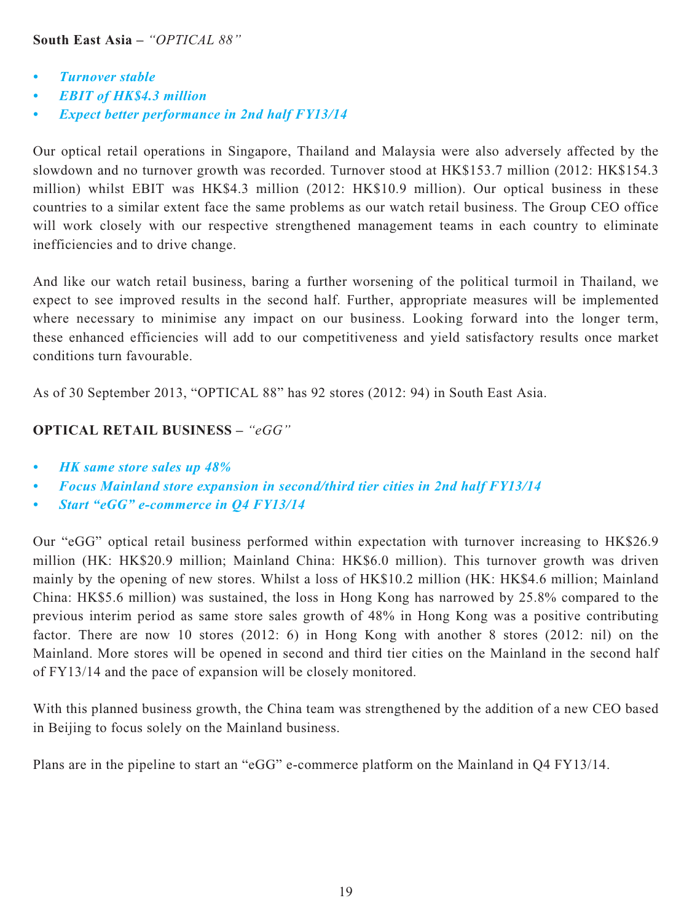- *Turnover stable*
- *EBIT of HK\$4.3 million*
- *Expect better performance in 2nd half FY13/14*

Our optical retail operations in Singapore, Thailand and Malaysia were also adversely affected by the slowdown and no turnover growth was recorded. Turnover stood at HK\$153.7 million (2012: HK\$154.3 million) whilst EBIT was HK\$4.3 million (2012: HK\$10.9 million). Our optical business in these countries to a similar extent face the same problems as our watch retail business. The Group CEO office will work closely with our respective strengthened management teams in each country to eliminate inefficiencies and to drive change.

And like our watch retail business, baring a further worsening of the political turmoil in Thailand, we expect to see improved results in the second half. Further, appropriate measures will be implemented where necessary to minimise any impact on our business. Looking forward into the longer term, these enhanced efficiencies will add to our competitiveness and yield satisfactory results once market conditions turn favourable.

As of 30 September 2013, "OPTICAL 88" has 92 stores (2012: 94) in South East Asia.

# **OPTICAL RETAIL BUSINESS –** *"eGG"*

- *HK same store sales up 48%*
- *Focus Mainland store expansion in second/third tier cities in 2nd half FY13/14*
- *Start "eGG" e-commerce in Q4 FY13/14*

Our "eGG" optical retail business performed within expectation with turnover increasing to HK\$26.9 million (HK: HK\$20.9 million; Mainland China: HK\$6.0 million). This turnover growth was driven mainly by the opening of new stores. Whilst a loss of HK\$10.2 million (HK: HK\$4.6 million; Mainland China: HK\$5.6 million) was sustained, the loss in Hong Kong has narrowed by 25.8% compared to the previous interim period as same store sales growth of 48% in Hong Kong was a positive contributing factor. There are now 10 stores (2012: 6) in Hong Kong with another 8 stores (2012: nil) on the Mainland. More stores will be opened in second and third tier cities on the Mainland in the second half of FY13/14 and the pace of expansion will be closely monitored.

With this planned business growth, the China team was strengthened by the addition of a new CEO based in Beijing to focus solely on the Mainland business.

Plans are in the pipeline to start an "eGG" e-commerce platform on the Mainland in Q4 FY13/14.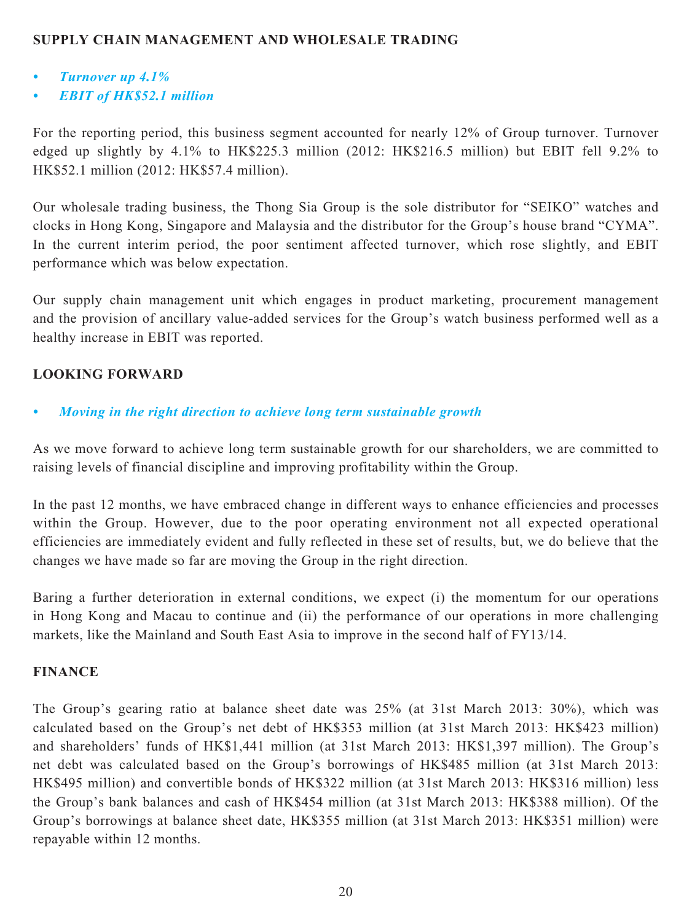## **SUPPLY CHAIN MANAGEMENT AND WHOLESALE TRADING**

- *Turnover up 4.1%*
- *EBIT of HK\$52.1 million*

For the reporting period, this business segment accounted for nearly 12% of Group turnover. Turnover edged up slightly by 4.1% to HK\$225.3 million (2012: HK\$216.5 million) but EBIT fell 9.2% to HK\$52.1 million (2012: HK\$57.4 million).

Our wholesale trading business, the Thong Sia Group is the sole distributor for "SEIKO" watches and clocks in Hong Kong, Singapore and Malaysia and the distributor for the Group's house brand "CYMA". In the current interim period, the poor sentiment affected turnover, which rose slightly, and EBIT performance which was below expectation.

Our supply chain management unit which engages in product marketing, procurement management and the provision of ancillary value-added services for the Group's watch business performed well as a healthy increase in EBIT was reported.

# **LOOKING FORWARD**

*• Moving in the right direction to achieve long term sustainable growth*

As we move forward to achieve long term sustainable growth for our shareholders, we are committed to raising levels of financial discipline and improving profitability within the Group.

In the past 12 months, we have embraced change in different ways to enhance efficiencies and processes within the Group. However, due to the poor operating environment not all expected operational efficiencies are immediately evident and fully reflected in these set of results, but, we do believe that the changes we have made so far are moving the Group in the right direction.

Baring a further deterioration in external conditions, we expect (i) the momentum for our operations in Hong Kong and Macau to continue and (ii) the performance of our operations in more challenging markets, like the Mainland and South East Asia to improve in the second half of FY13/14.

# **FINANCE**

The Group's gearing ratio at balance sheet date was 25% (at 31st March 2013: 30%), which was calculated based on the Group's net debt of HK\$353 million (at 31st March 2013: HK\$423 million) and shareholders' funds of HK\$1,441 million (at 31st March 2013: HK\$1,397 million). The Group's net debt was calculated based on the Group's borrowings of HK\$485 million (at 31st March 2013: HK\$495 million) and convertible bonds of HK\$322 million (at 31st March 2013: HK\$316 million) less the Group's bank balances and cash of HK\$454 million (at 31st March 2013: HK\$388 million). Of the Group's borrowings at balance sheet date, HK\$355 million (at 31st March 2013: HK\$351 million) were repayable within 12 months.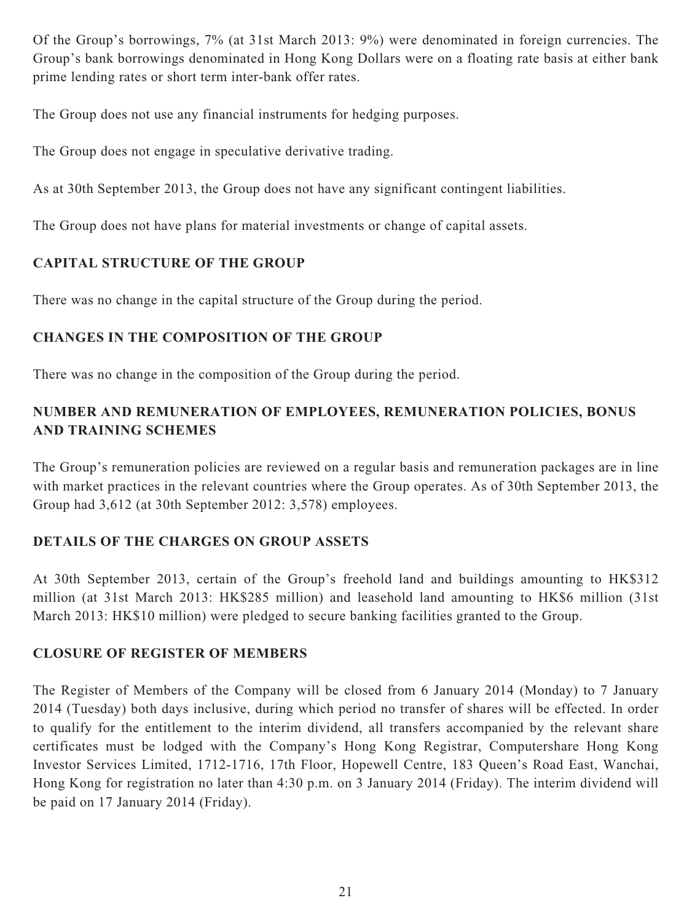Of the Group's borrowings, 7% (at 31st March 2013: 9%) were denominated in foreign currencies. The Group's bank borrowings denominated in Hong Kong Dollars were on a floating rate basis at either bank prime lending rates or short term inter-bank offer rates.

The Group does not use any financial instruments for hedging purposes.

The Group does not engage in speculative derivative trading.

As at 30th September 2013, the Group does not have any significant contingent liabilities.

The Group does not have plans for material investments or change of capital assets.

# **CAPITAL STRUCTURE OF THE GROUP**

There was no change in the capital structure of the Group during the period.

# **CHANGES IN THE COMPOSITION OF THE GROUP**

There was no change in the composition of the Group during the period.

# **NUMBER AND REMUNERATION OF EMPLOYEES, REMUNERATION POLICIES, BONUS AND TRAINING SCHEMES**

The Group's remuneration policies are reviewed on a regular basis and remuneration packages are in line with market practices in the relevant countries where the Group operates. As of 30th September 2013, the Group had 3,612 (at 30th September 2012: 3,578) employees.

# **DETAILS OF THE CHARGES ON GROUP ASSETS**

At 30th September 2013, certain of the Group's freehold land and buildings amounting to HK\$312 million (at 31st March 2013: HK\$285 million) and leasehold land amounting to HK\$6 million (31st March 2013: HK\$10 million) were pledged to secure banking facilities granted to the Group.

# **CLOSURE OF REGISTER OF MEMBERS**

The Register of Members of the Company will be closed from 6 January 2014 (Monday) to 7 January 2014 (Tuesday) both days inclusive, during which period no transfer of shares will be effected. In order to qualify for the entitlement to the interim dividend, all transfers accompanied by the relevant share certificates must be lodged with the Company's Hong Kong Registrar, Computershare Hong Kong Investor Services Limited, 1712-1716, 17th Floor, Hopewell Centre, 183 Queen's Road East, Wanchai, Hong Kong for registration no later than 4:30 p.m. on 3 January 2014 (Friday). The interim dividend will be paid on 17 January 2014 (Friday).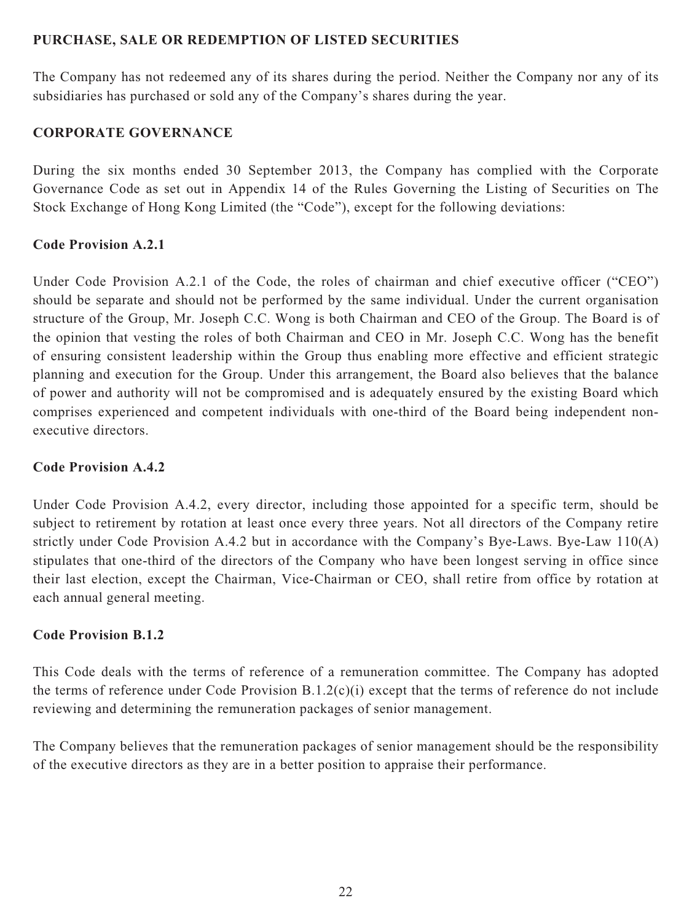## **PURCHASE, SALE OR REDEMPTION OF LISTED SECURITIES**

The Company has not redeemed any of its shares during the period. Neither the Company nor any of its subsidiaries has purchased or sold any of the Company's shares during the year.

# **CORPORATE GOVERNANCE**

During the six months ended 30 September 2013, the Company has complied with the Corporate Governance Code as set out in Appendix 14 of the Rules Governing the Listing of Securities on The Stock Exchange of Hong Kong Limited (the "Code"), except for the following deviations:

## **Code Provision A.2.1**

Under Code Provision A.2.1 of the Code, the roles of chairman and chief executive officer ("CEO") should be separate and should not be performed by the same individual. Under the current organisation structure of the Group, Mr. Joseph C.C. Wong is both Chairman and CEO of the Group. The Board is of the opinion that vesting the roles of both Chairman and CEO in Mr. Joseph C.C. Wong has the benefit of ensuring consistent leadership within the Group thus enabling more effective and efficient strategic planning and execution for the Group. Under this arrangement, the Board also believes that the balance of power and authority will not be compromised and is adequately ensured by the existing Board which comprises experienced and competent individuals with one-third of the Board being independent nonexecutive directors.

## **Code Provision A.4.2**

Under Code Provision A.4.2, every director, including those appointed for a specific term, should be subject to retirement by rotation at least once every three years. Not all directors of the Company retire strictly under Code Provision A.4.2 but in accordance with the Company's Bye-Laws. Bye-Law 110(A) stipulates that one-third of the directors of the Company who have been longest serving in office since their last election, except the Chairman, Vice-Chairman or CEO, shall retire from office by rotation at each annual general meeting.

## **Code Provision B.1.2**

This Code deals with the terms of reference of a remuneration committee. The Company has adopted the terms of reference under Code Provision B.1.2(c)(i) except that the terms of reference do not include reviewing and determining the remuneration packages of senior management.

The Company believes that the remuneration packages of senior management should be the responsibility of the executive directors as they are in a better position to appraise their performance.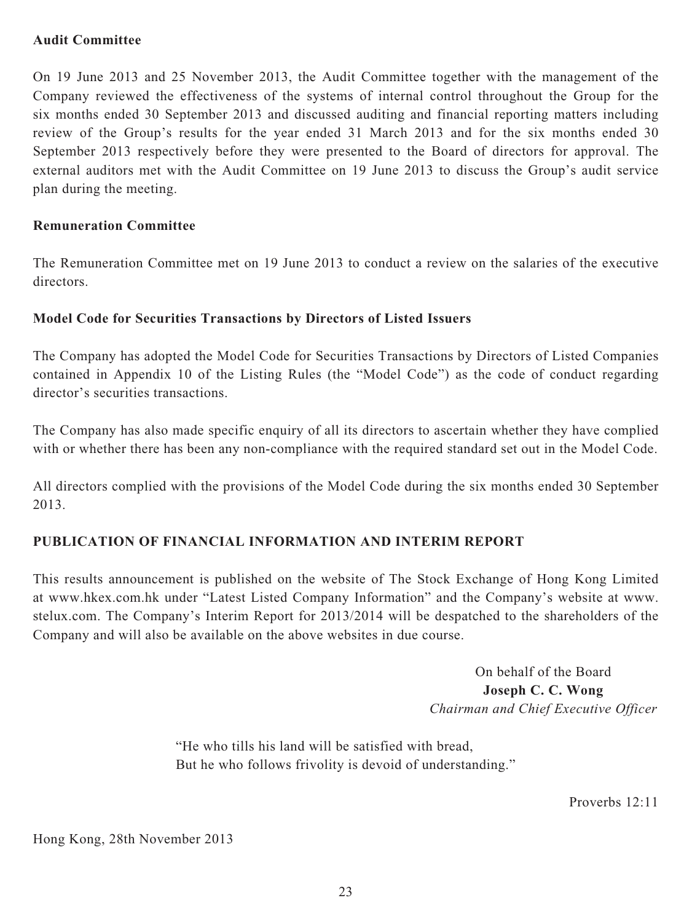#### **Audit Committee**

On 19 June 2013 and 25 November 2013, the Audit Committee together with the management of the Company reviewed the effectiveness of the systems of internal control throughout the Group for the six months ended 30 September 2013 and discussed auditing and financial reporting matters including review of the Group's results for the year ended 31 March 2013 and for the six months ended 30 September 2013 respectively before they were presented to the Board of directors for approval. The external auditors met with the Audit Committee on 19 June 2013 to discuss the Group's audit service plan during the meeting.

#### **Remuneration Committee**

The Remuneration Committee met on 19 June 2013 to conduct a review on the salaries of the executive directors.

#### **Model Code for Securities Transactions by Directors of Listed Issuers**

The Company has adopted the Model Code for Securities Transactions by Directors of Listed Companies contained in Appendix 10 of the Listing Rules (the "Model Code") as the code of conduct regarding director's securities transactions.

The Company has also made specific enquiry of all its directors to ascertain whether they have complied with or whether there has been any non-compliance with the required standard set out in the Model Code.

All directors complied with the provisions of the Model Code during the six months ended 30 September 2013.

## **PUBLICATION OF FINANCIAL INFORMATION AND INTERIM REPORT**

This results announcement is published on the website of The Stock Exchange of Hong Kong Limited at www.hkex.com.hk under "Latest Listed Company Information" and the Company's website at www. stelux.com. The Company's Interim Report for 2013/2014 will be despatched to the shareholders of the Company and will also be available on the above websites in due course.

> On behalf of the Board **Joseph C. C. Wong** *Chairman and Chief Executive Officer*

 "He who tills his land will be satisfied with bread, But he who follows frivolity is devoid of understanding."

Proverbs 12:11

Hong Kong, 28th November 2013